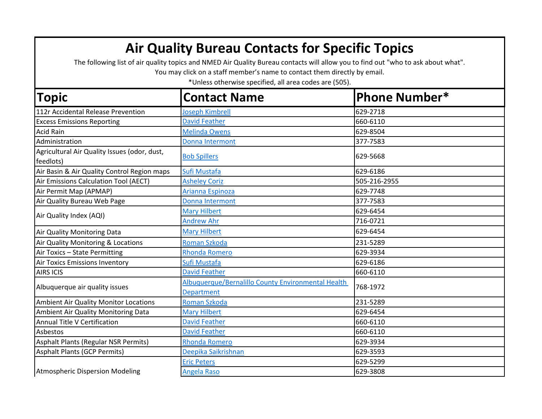## **Air Quality Bureau Contacts for Specific Topics**

The following list of air quality topics and NMED Air Quality Bureau contacts will allow you to find out "who to ask about what".

You may click on a staff member's name to contact them directly by email.

\*Unless otherwise specified, all area codes are (505).

| <b>Topic</b>                                              | <b>Contact Name</b>                                                     | <b>Phone Number*</b> |
|-----------------------------------------------------------|-------------------------------------------------------------------------|----------------------|
| 112r Accidental Release Prevention                        | Joseph Kimbrell                                                         | 629-2718             |
| <b>Excess Emissions Reporting</b>                         | <b>David Feather</b>                                                    | 660-6110             |
| <b>Acid Rain</b>                                          | <b>Melinda Owens</b>                                                    | 629-8504             |
| Administration                                            | Donna Intermont                                                         | 377-7583             |
| Agricultural Air Quality Issues (odor, dust,<br>feedlots) | <b>Bob Spillers</b>                                                     | 629-5668             |
| Air Basin & Air Quality Control Region maps               | Sufi Mustafa                                                            | 629-6186             |
| Air Emissions Calculation Tool (AECT)                     | <b>Asheley Coriz</b>                                                    | 505-216-2955         |
| Air Permit Map (APMAP)                                    | Arianna Espinoza                                                        | 629-7748             |
| Air Quality Bureau Web Page                               | Donna Intermont                                                         | 377-7583             |
|                                                           | <b>Mary Hilbert</b>                                                     | 629-6454             |
| Air Quality Index (AQI)                                   | <b>Andrew Ahr</b>                                                       | 716-0721             |
| Air Quality Monitoring Data                               | <b>Mary Hilbert</b>                                                     | 629-6454             |
| Air Quality Monitoring & Locations                        | Roman Szkoda                                                            | 231-5289             |
| Air Toxics - State Permitting                             | <b>Rhonda Romero</b>                                                    | 629-3934             |
| <b>Air Toxics Emissions Inventory</b>                     | Sufi Mustafa                                                            | 629-6186             |
| <b>AIRS ICIS</b>                                          | <b>David Feather</b>                                                    | 660-6110             |
| Albuquerque air quality issues                            | Albuquerque/Bernalillo County Environmental Health<br><b>Department</b> | 768-1972             |
| Ambient Air Quality Monitor Locations                     | <b>Roman Szkoda</b>                                                     | 231-5289             |
| Ambient Air Quality Monitoring Data                       | <b>Mary Hilbert</b>                                                     | 629-6454             |
| Annual Title V Certification                              | <b>David Feather</b>                                                    | 660-6110             |
| Asbestos                                                  | <b>David Feather</b>                                                    | 660-6110             |
| Asphalt Plants (Regular NSR Permits)                      | <b>Rhonda Romero</b>                                                    | 629-3934             |
| Asphalt Plants (GCP Permits)                              | Deepika Saikrishnan                                                     | 629-3593             |
|                                                           | <b>Eric Peters</b>                                                      | 629-5299             |
| <b>Atmospheric Dispersion Modeling</b>                    | <b>Angela Raso</b>                                                      | 629-3808             |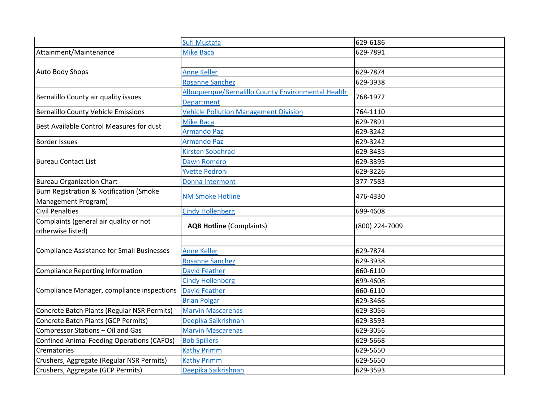|                                                    | Sufi Mustafa                                       | 629-6186       |
|----------------------------------------------------|----------------------------------------------------|----------------|
| Attainment/Maintenance                             | <b>Mike Baca</b>                                   | 629-7891       |
|                                                    |                                                    |                |
| <b>Auto Body Shops</b>                             | <b>Anne Keller</b>                                 | 629-7874       |
|                                                    | <b>Rosanne Sanchez</b>                             | 629-3938       |
| Bernalillo County air quality issues               | Albuquerque/Bernalillo County Environmental Health | 768-1972       |
|                                                    | <b>Department</b>                                  |                |
| <b>Bernalillo County Vehicle Emissions</b>         | <b>Vehicle Pollution Management Division</b>       | 764-1110       |
| Best Available Control Measures for dust           | <b>Mike Baca</b>                                   | 629-7891       |
|                                                    | <b>Armando Paz</b>                                 | 629-3242       |
| <b>Border Issues</b>                               | <b>Armando Paz</b>                                 | 629-3242       |
|                                                    | <b>Kirsten Sobehrad</b>                            | 629-3435       |
| <b>Bureau Contact List</b>                         | <b>Dawn Romero</b>                                 | 629-3395       |
|                                                    | <b>Yvette Pedroni</b>                              | 629-3226       |
| <b>Bureau Organization Chart</b>                   | Donna Intermont                                    | 377-7583       |
| <b>Burn Registration &amp; Notification (Smoke</b> |                                                    | 476-4330       |
| Management Program)                                | <b>NM Smoke Hotline</b>                            |                |
| <b>Civil Penalties</b>                             | <b>Cindy Hollenberg</b>                            | 699-4608       |
| Complaints (general air quality or not             | <b>AQB Hotline (Complaints)</b>                    | (800) 224-7009 |
| otherwise listed)                                  |                                                    |                |
|                                                    |                                                    |                |
| <b>Compliance Assistance for Small Businesses</b>  | <b>Anne Keller</b>                                 | 629-7874       |
|                                                    | <b>Rosanne Sanchez</b>                             | 629-3938       |
| <b>Compliance Reporting Information</b>            | <b>David Feather</b>                               | 660-6110       |
|                                                    | <b>Cindy Hollenberg</b>                            | 699-4608       |
| Compliance Manager, compliance inspections         | <b>David Feather</b>                               | 660-6110       |
|                                                    | <b>Brian Polgar</b>                                | 629-3466       |
| Concrete Batch Plants (Regular NSR Permits)        | <b>Marvin Mascarenas</b>                           | 629-3056       |
| Concrete Batch Plants (GCP Permits)                | Deepika Saikrishnan                                | 629-3593       |
| Compressor Stations - Oil and Gas                  | <b>Marvin Mascarenas</b>                           | 629-3056       |
| <b>Confined Animal Feeding Operations (CAFOs)</b>  | <b>Bob Spillers</b>                                | 629-5668       |
| Crematories                                        | <b>Kathy Primm</b>                                 | 629-5650       |
| Crushers, Aggregate (Regular NSR Permits)          | <b>Kathy Primm</b>                                 | 629-5650       |
| Crushers, Aggregate (GCP Permits)                  | Deepika Saikrishnan                                | 629-3593       |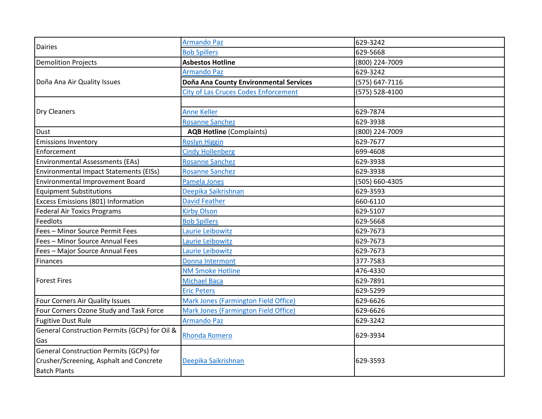| <b>Dairies</b>                                                                     | <b>Armando Paz</b>                          | 629-3242       |
|------------------------------------------------------------------------------------|---------------------------------------------|----------------|
|                                                                                    | <b>Bob Spillers</b>                         | 629-5668       |
| <b>Demolition Projects</b>                                                         | <b>Asbestos Hotline</b>                     | (800) 224-7009 |
| Doña Ana Air Quality Issues                                                        | <b>Armando Paz</b>                          | 629-3242       |
|                                                                                    | Doña Ana County Environmental Services      | (575) 647-7116 |
|                                                                                    | <b>City of Las Cruces Codes Enforcement</b> | (575) 528-4100 |
|                                                                                    |                                             |                |
| Dry Cleaners                                                                       | <b>Anne Keller</b>                          | 629-7874       |
|                                                                                    | <b>Rosanne Sanchez</b>                      | 629-3938       |
| <b>Dust</b>                                                                        | <b>AQB Hotline (Complaints)</b>             | (800) 224-7009 |
| <b>Emissions Inventory</b>                                                         | <b>Roslyn Higgin</b>                        | 629-7677       |
| Enforcement                                                                        | <b>Cindy Hollenberg</b>                     | 699-4608       |
| <b>Environmental Assessments (EAs)</b>                                             | <b>Rosanne Sanchez</b>                      | 629-3938       |
| Environmental Impact Statements (EISs)                                             | <b>Rosanne Sanchez</b>                      | 629-3938       |
| Environmental Improvement Board                                                    | Pamela Jones                                | (505) 660-4305 |
| <b>Equipment Substitutions</b>                                                     | Deepika Saikrishnan                         | 629-3593       |
| Excess Emissions (801) Information                                                 | <b>David Feather</b>                        | 660-6110       |
| <b>Federal Air Toxics Programs</b>                                                 | <b>Kirby Olson</b>                          | 629-5107       |
| Feedlots                                                                           | <b>Bob Spillers</b>                         | 629-5668       |
| Fees - Minor Source Permit Fees                                                    | Laurie Leibowitz                            | 629-7673       |
| Fees - Minor Source Annual Fees                                                    | Laurie Leibowitz                            | 629-7673       |
| Fees - Major Source Annual Fees                                                    | Laurie Leibowitz                            | 629-7673       |
| Finances                                                                           | Donna Intermont                             | 377-7583       |
|                                                                                    | <b>NM Smoke Hotline</b>                     | 476-4330       |
| <b>Forest Fires</b>                                                                | <b>Michael Baca</b>                         | 629-7891       |
|                                                                                    | <b>Eric Peters</b>                          | 629-5299       |
| Four Corners Air Quality Issues                                                    | Mark Jones (Farmington Field Office)        | 629-6626       |
| Four Corners Ozone Study and Task Force                                            | Mark Jones (Farmington Field Office)        | 629-6626       |
| <b>Fugitive Dust Rule</b>                                                          | <b>Armando Paz</b>                          | 629-3242       |
| General Construction Permits (GCPs) for Oil &<br>Gas                               | <b>Rhonda Romero</b>                        | 629-3934       |
| General Construction Permits (GCPs) for<br>Crusher/Screening, Asphalt and Concrete | Deepika Saikrishnan                         | 629-3593       |
| <b>Batch Plants</b>                                                                |                                             |                |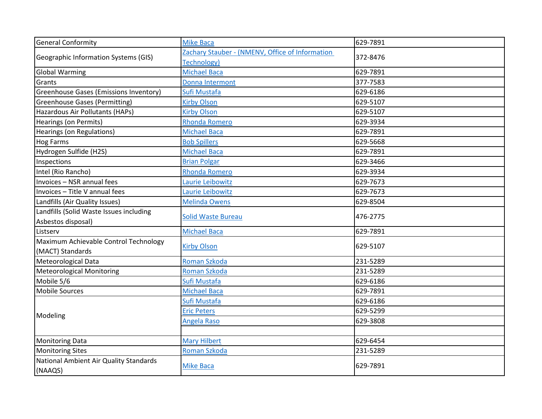| <b>General Conformity</b>                                 | <b>Mike Baca</b>                                               | 629-7891 |
|-----------------------------------------------------------|----------------------------------------------------------------|----------|
| Geographic Information Systems (GIS)                      | Zachary Stauber - (NMENV, Office of Information<br>Technology) | 372-8476 |
| <b>Global Warming</b>                                     | <b>Michael Baca</b>                                            | 629-7891 |
|                                                           |                                                                |          |
| Grants                                                    | Donna Intermont                                                | 377-7583 |
| Greenhouse Gases (Emissions Inventory)                    | Sufi Mustafa                                                   | 629-6186 |
| Greenhouse Gases (Permitting)                             | <b>Kirby Olson</b>                                             | 629-5107 |
| Hazardous Air Pollutants (HAPs)                           | <b>Kirby Olson</b>                                             | 629-5107 |
| <b>Hearings (on Permits)</b>                              | Rhonda Romero                                                  | 629-3934 |
| Hearings (on Regulations)                                 | <b>Michael Baca</b>                                            | 629-7891 |
| <b>Hog Farms</b>                                          | <b>Bob Spillers</b>                                            | 629-5668 |
| Hydrogen Sulfide (H2S)                                    | <b>Michael Baca</b>                                            | 629-7891 |
| Inspections                                               | <b>Brian Polgar</b>                                            | 629-3466 |
| Intel (Rio Rancho)                                        | <b>Rhonda Romero</b>                                           | 629-3934 |
| Invoices - NSR annual fees                                | Laurie Leibowitz                                               | 629-7673 |
| Invoices - Title V annual fees                            | Laurie Leibowitz                                               | 629-7673 |
| Landfills (Air Quality Issues)                            | <b>Melinda Owens</b>                                           | 629-8504 |
| Landfills (Solid Waste Issues including                   | <b>Solid Waste Bureau</b>                                      | 476-2775 |
| Asbestos disposal)                                        |                                                                |          |
| Listserv                                                  | <b>Michael Baca</b>                                            | 629-7891 |
| Maximum Achievable Control Technology<br>(MACT) Standards | <b>Kirby Olson</b>                                             | 629-5107 |
| Meteorological Data                                       | <b>Roman Szkoda</b>                                            | 231-5289 |
| <b>Meteorological Monitoring</b>                          | <b>Roman Szkoda</b>                                            | 231-5289 |
| Mobile 5/6                                                | Sufi Mustafa                                                   | 629-6186 |
| <b>Mobile Sources</b>                                     | <b>Michael Baca</b>                                            | 629-7891 |
| Modeling                                                  | Sufi Mustafa                                                   | 629-6186 |
|                                                           | <b>Eric Peters</b>                                             | 629-5299 |
|                                                           | Angela Raso                                                    | 629-3808 |
|                                                           |                                                                |          |
| <b>Monitoring Data</b>                                    | <b>Mary Hilbert</b>                                            | 629-6454 |
| <b>Monitoring Sites</b>                                   | Roman Szkoda                                                   | 231-5289 |
| National Ambient Air Quality Standards<br>(NAAQS)         | <b>Mike Baca</b>                                               | 629-7891 |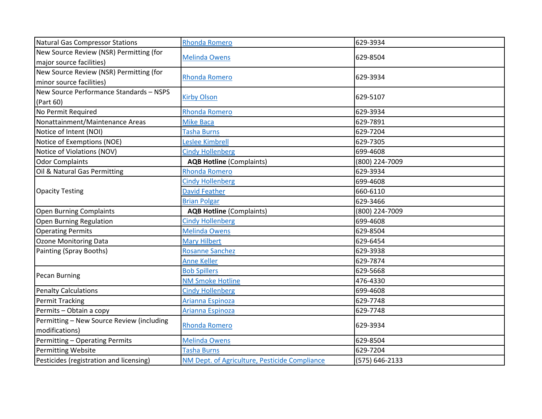| Natural Gas Compressor Stations           | <b>Rhonda Romero</b>                          | 629-3934       |
|-------------------------------------------|-----------------------------------------------|----------------|
| New Source Review (NSR) Permitting (for   |                                               |                |
| major source facilities)                  | <b>Melinda Owens</b>                          | 629-8504       |
| New Source Review (NSR) Permitting (for   |                                               |                |
| minor source facilities)                  | <b>Rhonda Romero</b>                          | 629-3934       |
| New Source Performance Standards - NSPS   |                                               |                |
| (Part 60)                                 | <b>Kirby Olson</b>                            | 629-5107       |
| No Permit Required                        | <b>Rhonda Romero</b>                          | 629-3934       |
| Nonattainment/Maintenance Areas           | <b>Mike Baca</b>                              | 629-7891       |
| Notice of Intent (NOI)                    | <b>Tasha Burns</b>                            | 629-7204       |
| Notice of Exemptions (NOE)                | Leslee Kimbrell                               | 629-7305       |
| Notice of Violations (NOV)                | <b>Cindy Hollenberg</b>                       | 699-4608       |
| <b>Odor Complaints</b>                    | <b>AQB Hotline (Complaints)</b>               | (800) 224-7009 |
| Oil & Natural Gas Permitting              | <b>Rhonda Romero</b>                          | 629-3934       |
|                                           | <b>Cindy Hollenberg</b>                       | 699-4608       |
| <b>Opacity Testing</b>                    | David Feather                                 | 660-6110       |
|                                           | <b>Brian Polgar</b>                           | 629-3466       |
| <b>Open Burning Complaints</b>            | <b>AQB Hotline (Complaints)</b>               | (800) 224-7009 |
| Open Burning Regulation                   | <b>Cindy Hollenberg</b>                       | 699-4608       |
| <b>Operating Permits</b>                  | <b>Melinda Owens</b>                          | 629-8504       |
| <b>Ozone Monitoring Data</b>              | <b>Mary Hilbert</b>                           | 629-6454       |
| Painting (Spray Booths)                   | <b>Rosanne Sanchez</b>                        | 629-3938       |
|                                           | <b>Anne Keller</b>                            | 629-7874       |
|                                           | <b>Bob Spillers</b>                           | 629-5668       |
| <b>Pecan Burning</b>                      | <b>NM Smoke Hotline</b>                       | 476-4330       |
| <b>Penalty Calculations</b>               | <b>Cindy Hollenberg</b>                       | 699-4608       |
| <b>Permit Tracking</b>                    | Arianna Espinoza                              | 629-7748       |
| Permits - Obtain a copy                   | Arianna Espinoza                              | 629-7748       |
| Permitting - New Source Review (including |                                               |                |
| modifications)                            | <b>Rhonda Romero</b>                          | 629-3934       |
| Permitting - Operating Permits            | <b>Melinda Owens</b>                          | 629-8504       |
| <b>Permitting Website</b>                 | <b>Tasha Burns</b>                            | 629-7204       |
| Pesticides (registration and licensing)   | NM Dept. of Agriculture, Pesticide Compliance | (575) 646-2133 |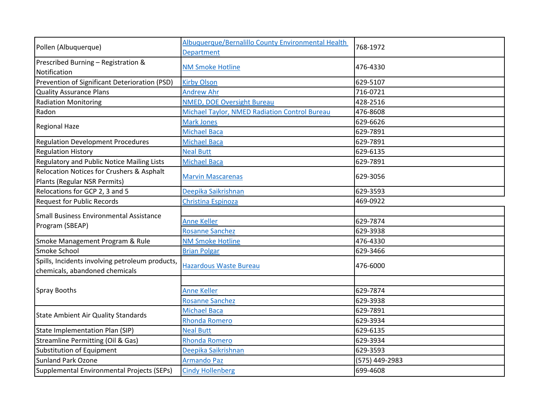| Pollen (Albuquerque)                                 | Albuquerque/Bernalillo County Environmental Health   |                |
|------------------------------------------------------|------------------------------------------------------|----------------|
|                                                      | <b>Department</b>                                    | 768-1972       |
| Prescribed Burning - Registration &                  |                                                      |                |
| Notification                                         | <b>NM Smoke Hotline</b>                              | 476-4330       |
| Prevention of Significant Deterioration (PSD)        | <b>Kirby Olson</b>                                   | 629-5107       |
| <b>Quality Assurance Plans</b>                       | <b>Andrew Ahr</b>                                    | 716-0721       |
| <b>Radiation Monitoring</b>                          | <b>NMED, DOE Oversight Bureau</b>                    | 428-2516       |
| Radon                                                | <b>Michael Taylor, NMED Radiation Control Bureau</b> | 476-8608       |
| <b>Regional Haze</b>                                 | <b>Mark Jones</b>                                    | 629-6626       |
|                                                      | <b>Michael Baca</b>                                  | 629-7891       |
| <b>Regulation Development Procedures</b>             | <b>Michael Baca</b>                                  | 629-7891       |
| <b>Regulation History</b>                            | <b>Neal Butt</b>                                     | 629-6135       |
| Regulatory and Public Notice Mailing Lists           | <b>Michael Baca</b>                                  | 629-7891       |
| <b>Relocation Notices for Crushers &amp; Asphalt</b> |                                                      | 629-3056       |
| Plants (Regular NSR Permits)                         | <b>Marvin Mascarenas</b>                             |                |
| Relocations for GCP 2, 3 and 5                       | Deepika Saikrishnan                                  | 629-3593       |
| <b>Request for Public Records</b>                    | Christina Espinoza                                   | 469-0922       |
| Small Business Environmental Assistance              |                                                      |                |
| Program (SBEAP)                                      | <b>Anne Keller</b>                                   | 629-7874       |
|                                                      | <b>Rosanne Sanchez</b>                               | 629-3938       |
| Smoke Management Program & Rule                      | <b>NM Smoke Hotline</b>                              | 476-4330       |
| Smoke School                                         | <b>Brian Polgar</b>                                  | 629-3466       |
| Spills, Incidents involving petroleum products,      | <b>Hazardous Waste Bureau</b>                        | 476-6000       |
| chemicals, abandoned chemicals                       |                                                      |                |
|                                                      |                                                      |                |
| Spray Booths                                         | <b>Anne Keller</b>                                   | 629-7874       |
|                                                      | <b>Rosanne Sanchez</b>                               | 629-3938       |
| <b>State Ambient Air Quality Standards</b>           | <b>Michael Baca</b>                                  | 629-7891       |
|                                                      | <b>Rhonda Romero</b>                                 | 629-3934       |
| <b>State Implementation Plan (SIP)</b>               | <b>Neal Butt</b>                                     | 629-6135       |
| <b>Streamline Permitting (Oil &amp; Gas)</b>         | <b>Rhonda Romero</b>                                 | 629-3934       |
| Substitution of Equipment                            | Deepika Saikrishnan                                  | 629-3593       |
| <b>Sunland Park Ozone</b>                            | <b>Armando Paz</b>                                   | (575) 449-2983 |
| Supplemental Environmental Projects (SEPs)           | <b>Cindy Hollenberg</b>                              | 699-4608       |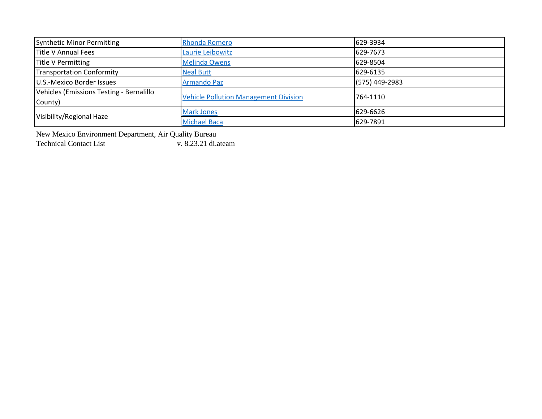| Synthetic Minor Permitting                          | Rhonda Romero                                | 629-3934       |
|-----------------------------------------------------|----------------------------------------------|----------------|
| <b>Title V Annual Fees</b>                          | Laurie Leibowitz                             | 629-7673       |
| Title V Permitting                                  | <b>Melinda Owens</b>                         | 629-8504       |
| <b>Transportation Conformity</b>                    | <b>Neal Butt</b>                             | 629-6135       |
| U.S.-Mexico Border Issues                           | <b>Armando Paz</b>                           | (575) 449-2983 |
| Vehicles (Emissions Testing - Bernalillo<br>County) | <b>Vehicle Pollution Management Division</b> | 764-1110       |
| Visibility/Regional Haze                            | <b>Mark Jones</b>                            | 629-6626       |
|                                                     | <b>Michael Baca</b>                          | 629-7891       |

New Mexico Environment Department, Air Quality Bureau<br>Technical Contact List v. 8.23.21 di.ateam

Technical Contact List